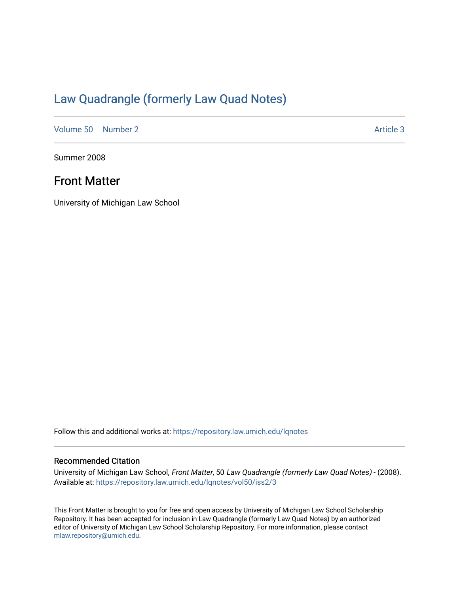## [Law Quadrangle \(formerly Law Quad Notes\)](https://repository.law.umich.edu/lqnotes)

[Volume 50](https://repository.law.umich.edu/lqnotes/vol50) [Number 2](https://repository.law.umich.edu/lqnotes/vol50/iss2) Article 3

Summer 2008

## Front Matter

University of Michigan Law School

Follow this and additional works at: [https://repository.law.umich.edu/lqnotes](https://repository.law.umich.edu/lqnotes?utm_source=repository.law.umich.edu%2Flqnotes%2Fvol50%2Fiss2%2F3&utm_medium=PDF&utm_campaign=PDFCoverPages) 

#### Recommended Citation

University of Michigan Law School, Front Matter, 50 Law Quadrangle (formerly Law Quad Notes) - (2008). Available at: [https://repository.law.umich.edu/lqnotes/vol50/iss2/3](https://repository.law.umich.edu/lqnotes/vol50/iss2/3?utm_source=repository.law.umich.edu%2Flqnotes%2Fvol50%2Fiss2%2F3&utm_medium=PDF&utm_campaign=PDFCoverPages) 

This Front Matter is brought to you for free and open access by University of Michigan Law School Scholarship Repository. It has been accepted for inclusion in Law Quadrangle (formerly Law Quad Notes) by an authorized editor of University of Michigan Law School Scholarship Repository. For more information, please contact [mlaw.repository@umich.edu.](mailto:mlaw.repository@umich.edu)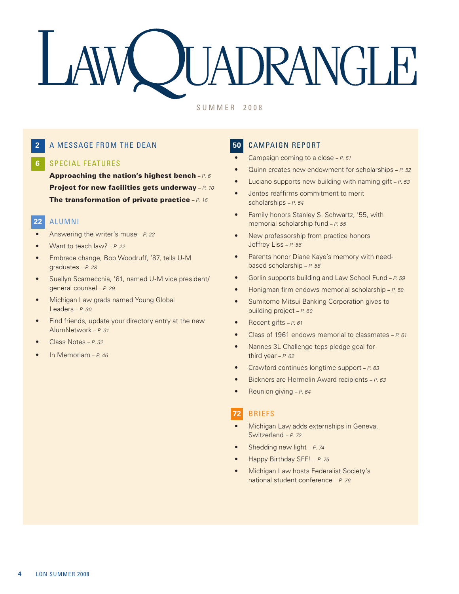# UADRANGLE

S U M M E R 2008

## **2** A MESSAGE FROM THE DEAN

#### **6** SPECIAL FEATURES

 Approaching the nation's highest bench *– P. 6* Project for new facilities gets underway *– P. 10* The transformation of private practice *– P. 16*

#### **22** ALUMNI

- Answering the writer's muse *P. 22*
- Want to teach law? *P. 22*
- Embrace change, Bob Woodruff, '87, tells U-M graduates *– P. 28*
- Suellyn Scarnecchia, '81, named U-M vice president/ general counsel *– P. 29*
- Michigan Law grads named Young Global Leaders *– P. 30*
- Find friends, update your directory entry at the new AlumNetwork *– P. 31*
- Class Notes *P. 32*
- In Memoriam *P. 46*

#### **50** CAMPAIGN REPORT

- Campaign coming to a close *P. 51*
- Quinn creates new endowment for scholarships *P. 52*
- Luciano supports new building with naming gift *P. 53*
- Jentes reaffirms commitment to merit scholarships *– P. 54*
- Family honors Stanley S. Schwartz, '55, with memorial scholarship fund *– P. 55*
- New professorship from practice honors Jeffrey Liss *– P. 56*
- Parents honor Diane Kaye's memory with needbased scholarship *– P. 58*
- Gorlin supports building and Law School Fund *P. 59*
- Honigman firm endows memorial scholarship *P. 59*
- Sumitomo Mitsui Banking Corporation gives to building project *– P. 60*
- Recent gifts *P. 61*
- Class of 1961 endows memorial to classmates *P. 61*
- Nannes 3L Challenge tops pledge goal for third year *– P. 62*
- Crawford continues longtime support *P. 63*
- Bickners are Hermelin Award recipients *P. 63*
- Reunion giving *P. 64*

#### **72** BRIEFS

- Michigan Law adds externships in Geneva, Switzerland *– P. 72*
- Shedding new light  *P. 74*
- Happy Birthday SFF!  *P. 75*
- Michigan Law hosts Federalist Society's national student conference *– P. 76*